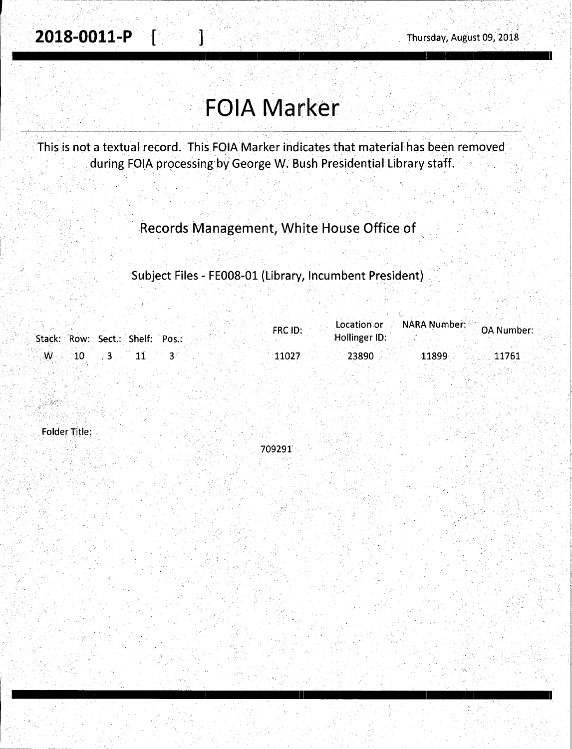# **FOIA Marker**

1

This is not a textual record. This FOIA Marker indicates that material has been removed during FOIA processing by George W. Bush Presidential Library staff.

Records Management, White House Office of

Subject Files - FE008-01 (Library, Incumbent President)

|                                 |  | FRC ID: | Location or   | o A National Market Management (CA Number: |       |
|---------------------------------|--|---------|---------------|--------------------------------------------|-------|
| Stack: Row: Sect.: Shelf: Pos.: |  |         | Hollinger ID: |                                            |       |
| $\sim$ M $_{\odot}$             |  | 11027   | 23890         | 11899                                      | 11761 |
|                                 |  |         |               |                                            |       |

**Folder Title:** 

709291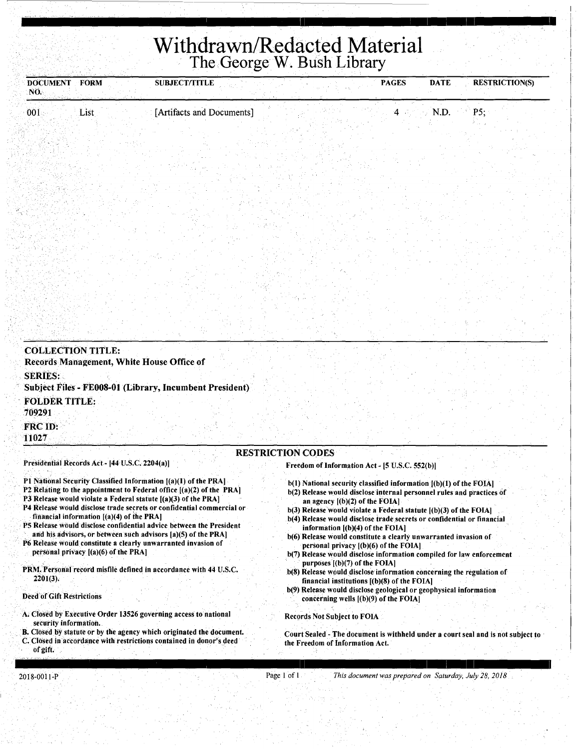## **Withdrawn/Redacted Material**  The George W. Bush Library

I 11 I I : I

| <b>DOCUMENT FORM</b><br>NO.                               |                                                                                       | <b>SUBJECT/TITLE</b>                                                                                                                                                                                                                                                                                                                                                                                                                                                                                                                                               |                          |                                                                                                                                                                                                                                                         | <b>PAGES</b> | <b>DATE</b>                                                                                                                                                                                                                                                                                                                                                   | <b>RESTRICTION(S)</b>                                                                                                                                                                                                 |
|-----------------------------------------------------------|---------------------------------------------------------------------------------------|--------------------------------------------------------------------------------------------------------------------------------------------------------------------------------------------------------------------------------------------------------------------------------------------------------------------------------------------------------------------------------------------------------------------------------------------------------------------------------------------------------------------------------------------------------------------|--------------------------|---------------------------------------------------------------------------------------------------------------------------------------------------------------------------------------------------------------------------------------------------------|--------------|---------------------------------------------------------------------------------------------------------------------------------------------------------------------------------------------------------------------------------------------------------------------------------------------------------------------------------------------------------------|-----------------------------------------------------------------------------------------------------------------------------------------------------------------------------------------------------------------------|
| 001                                                       | List                                                                                  | [Artifacts and Documents]                                                                                                                                                                                                                                                                                                                                                                                                                                                                                                                                          |                          |                                                                                                                                                                                                                                                         | 4            | N.D.                                                                                                                                                                                                                                                                                                                                                          | P5;                                                                                                                                                                                                                   |
| <b>COLLECTION TITLE:</b><br><b>SERIES:</b>                |                                                                                       | Records Management, White House Office of<br>Subject Files - FE008-01 (Library, Incumbent President)                                                                                                                                                                                                                                                                                                                                                                                                                                                               |                          |                                                                                                                                                                                                                                                         |              |                                                                                                                                                                                                                                                                                                                                                               |                                                                                                                                                                                                                       |
| <b>FOLDER TITLE:</b><br>709291<br><b>FRC ID:</b><br>11027 |                                                                                       |                                                                                                                                                                                                                                                                                                                                                                                                                                                                                                                                                                    |                          |                                                                                                                                                                                                                                                         |              |                                                                                                                                                                                                                                                                                                                                                               |                                                                                                                                                                                                                       |
|                                                           |                                                                                       |                                                                                                                                                                                                                                                                                                                                                                                                                                                                                                                                                                    | <b>RESTRICTION CODES</b> |                                                                                                                                                                                                                                                         |              |                                                                                                                                                                                                                                                                                                                                                               |                                                                                                                                                                                                                       |
|                                                           | Presidential Records Act - [44 U.S.C. 2204(a)]                                        |                                                                                                                                                                                                                                                                                                                                                                                                                                                                                                                                                                    |                          | Freedom of Information Act - [5 U.S.C. 552(b)]                                                                                                                                                                                                          |              |                                                                                                                                                                                                                                                                                                                                                               |                                                                                                                                                                                                                       |
| 2201(3).<br><b>Deed of Gift Restrictions</b>              | financial information $[(a)(4)$ of the PRA]<br>personal privacy $[(a)(6)$ of the PRA] | P1 National Security Classified Information [(a)(I) of the PRA]<br>P2 Relating to the appointment to Federal office $[(a)(2)$ of the PRA]<br>P3 Release would violate a Federal statute [(a)(3) of the PRA]<br>P4 Release would disclose trade secrets or confidential commercial or<br>P5 Release would disclose confidential advice between the President<br>and his advisors, or between such advisors [a](5) of the PRA]<br>P6 Release would constitute a clearly unwarranted invasion of<br>PRM. Personal record misfile defined in accordance with 44 U.S.C. |                          | an agency $[(b)(2)$ of the FOIA]<br>information $[(b)(4)$ of the FOIA]<br>personal privacy $[(b)(6)$ of the FOIA]<br>purposes $[(b)(7)$ of the FOIA]<br>financial institutions $[(b)(8)$ of the FOIA]<br>concerning wells $($ (b) $(9)$ of the FOIA $]$ |              | b(1) National security classified information [(b)(1) of the FOIA]<br>$b(3)$ Release would violate a Federal statute $[(b)(3)$ of the FOIA]<br>b(4) Release would disclose trade secrets or confidential or financial<br>b(6) Release would constitute a clearly unwarranted invasion of<br>b(9) Release would disclose geological or geophysical information | b(2) Release would disclose internal personnel rules and practices of<br>b(7) Release would disclose information compiled for law enforcement<br>b(8) Release would disclose information concerning the regulation of |
| security information.                                     |                                                                                       | A. Closed by Executive Order 13526 governing access to national                                                                                                                                                                                                                                                                                                                                                                                                                                                                                                    |                          | <b>Records Not Subject to FOIA</b>                                                                                                                                                                                                                      |              |                                                                                                                                                                                                                                                                                                                                                               |                                                                                                                                                                                                                       |
|                                                           |                                                                                       | B. Closed by statute or by the agency which originated the document.                                                                                                                                                                                                                                                                                                                                                                                                                                                                                               |                          |                                                                                                                                                                                                                                                         |              |                                                                                                                                                                                                                                                                                                                                                               | Court Sealed - The document is withheld under a court seal and is not subject to                                                                                                                                      |

C. Closed in accordance with restrictions contained in donor's deed of gift.

### Page 1of1 *This document was prepared on Saturday, July 28. 2018*

the Freedom of Information Act.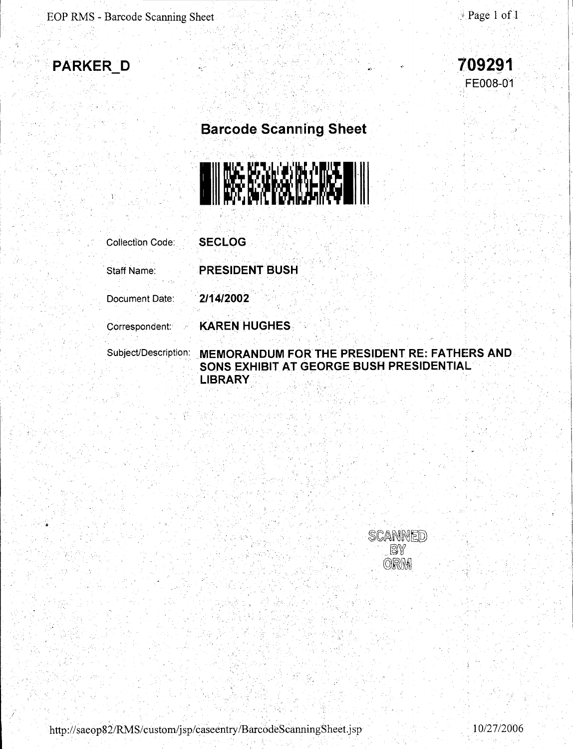



 $\mathbf{r}_{\mathbf{y}}$  . .

. .



### **Barcode Scanning Sheet**



Collection Code:

**SE CLOG** 

Staff Name:

**PRESIDENT BUSH** 

**KAREN HUGHES** 

Document Date:

. **2/14/2002** 

Correspondent:

Subject/Description:

### **MEMORANDUM FOR THE PRESIDENT RE: FATHERS AND SONS EXHIBIT AT GEORGE BUSH PRESIDENTIAL LIBRARY.**

SCANNED BÝ ORM

http://saeop82/RMS/custom/jsp/caseentry/BarcodeScanningSheet.jsp 10/27/2006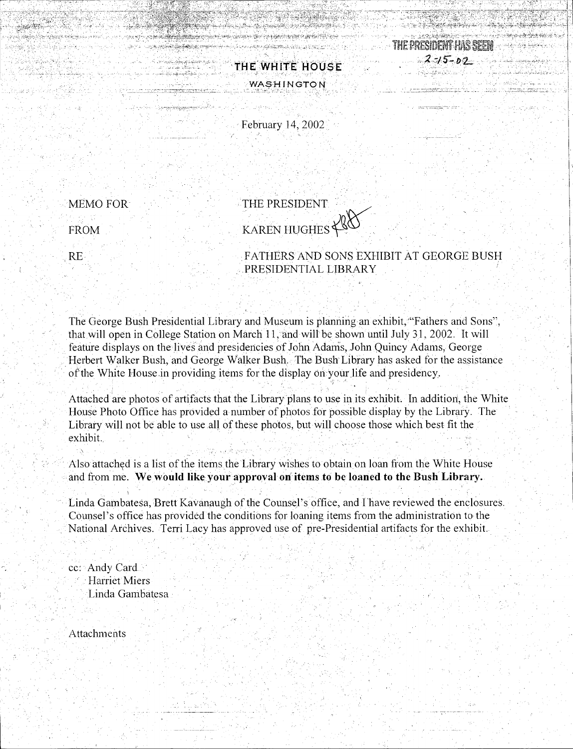

وحفن فناسبين الرازير وأبرو ليشوعهم وفيحوف

**WASHINGTON** 

**THE WHITE HOUSE** 

in matematical control of the state of the companies of the control and in the state of the companies of the c<br>Algorithm in the companies of the companies of the companies of the companies of the companies of the state of<br>

e de la composición de la composición de la composición de la composición de la composición de la composición<br>La composición de la composición de la composición de la composición de la composición de la composición de la

February 14, 2002

FROM MEMO FOR

a di kacamatan Ing

asi di Asilifin

i Sellara Verbelen

THE PRESIDENT KAREN HUGHES<sup>\*</sup>

' ' ' RE , FATHERS AND SONS EXHIBIT AT GEORGE BUSH PRESIDENTIAL LIBRARY

The George Bush Presidential Library and Museum is planning an exhibit,"'Fathers and Sons", that will open in College Station on March 11, and will be shown until July 31, 2002. It will feature displays on the lives and presidencies of John Adams, John Quincy Adams, George Herbert Walker Bush, and George Walker Bush. The Bush Library has asked for the assistance of the White House in providing items for the display on your life and presidency.

Attached are photos of artifacts that the Library plans to use in its exhibit. In addition, the White House Photo Office has provided a number of photos for possible display by the Library. The Library will not be able to use all of these photos, but will choose those which best fit the exhibit.

Also attached is a list of the items the Library wishes to obtain on loan from the White House and from me. We **would like your approval on items to be loaned to the Bush Library.** 

Linda Gambatesa, Brett Kavanaugh of the Counsel's office, and I have reviewed the enclosures. Counsel's office has provided the conditions for loaning items from the administration to the National Archives. Terri Lacy has approved use of pre-Presidential artifacts for the exhibit.

cc: Andy Card. **Harriet Miers** Linda Gambatesa

Attachments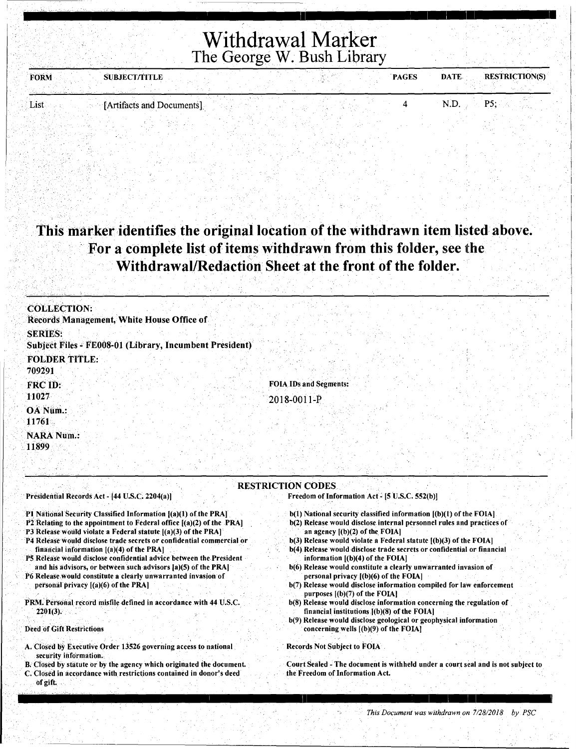### Withdrawal Marker The George W. Bush Library

I 11 I I : I I

| <b>FORM</b> | <b>SUBJECT/TITLE</b>      |  | <b>PAGES</b> | <b>RESTRICTION(S)</b><br><b>DATE</b> |
|-------------|---------------------------|--|--------------|--------------------------------------|
| List        | [Artifacts and Documents] |  |              | N.D                                  |

### This marker identifies the original location of the withdrawn item listed above. For a complete list of items withdrawn from this folder, see the Withdrawal/Redaction Sheet at the front of the folder.

| <b>COLLECTION:</b>                                                        |                               |
|---------------------------------------------------------------------------|-------------------------------|
| Records Management, White House Office of                                 |                               |
| <b>SERIES:</b><br>Subject Files - FE008-01 (Library, Incumbent President) |                               |
| <b>FOLDER TITLE:</b><br>709291                                            |                               |
| FRC ID:<br>11027                                                          | <b>FOIA IDs and Segments:</b> |
| OA Num.:<br>11761                                                         | $2018 - 0011 - P$             |
| <b>NARA Num.:</b><br>11899                                                |                               |
|                                                                           |                               |
|                                                                           | <b>RESTRICTION CODES</b>      |

#### Presidential Records Act - [44 U.S.C. 2204(a))

#### P1 National Security Classified Information [(a)(1) of the PRA]

- P2 Relating to the appointment to Federal office [(a)(2) of the PRA]
- P3 Release would violate a Federal statute  $[(a)(3)$  of the PRA]
- P4 Release would disclose trade secrets or confidential commercial or financial information  $[(a)(4)$  of the PRA]
- P5 Release would disclose confidential advice between the.President and his advisors, or between such advisors [a)(5) of the PRA)
- P6 Release.would constitute a clearly unwarranted invasion of personal privacy [(a)(6) of the PRA]

#### PRM. Personal record misfile defined in accordance with 44 U.S.C.  $2201(3)$ .

#### Deed of Gift Restrictions

of gift

- **A. Closed by Executive Order 13526 governing access to national** security information.
- B. Closed by statute or by the agency which originated the document. C. Closed in accordance with restrictions contained in donor's deed

b(1) National security classified information  $[(b)(1)$  of the FOIA]

Freedom of Information Act~ (5 U.S.C. 552(b))

- b(2) Release would disclose internal personnel rules and practices of an agency  $[(b)(2)$  of the  $FOIA]$
- b(3) Release would violate a Federal statute [(b)(3) of the FOIA]
- b(4).Release would disclose trade secrets or confidential or financial information [(b)(4) of the FOIA)
- b(6) Release would constitute a clearly unwarranted invasion of personal privacy  $[(b)(6)$  of the FOIA]
- b(7) Release would disclose information compiled for law enforcement purposes [(b)(7) of the FOIA)
- b(8) Release would disclose information concerning the regulation of financial institutions  $[(b)(8)$  of the FOIA]
- b(9) Release would disclose geological or geophysical information concerning wells  $[(b)(9)$  of the FOIA]

از است المساهر والتالي التاريخ التي يتسمى المساهر المساهر المساهر والتاريخ المساهر والمساهر المساهر المساهر ال

#### Records Not Subject to FOIA

Court Sealed - The document is withheld under a court seal and is not subject to the Freedom of Information Act.